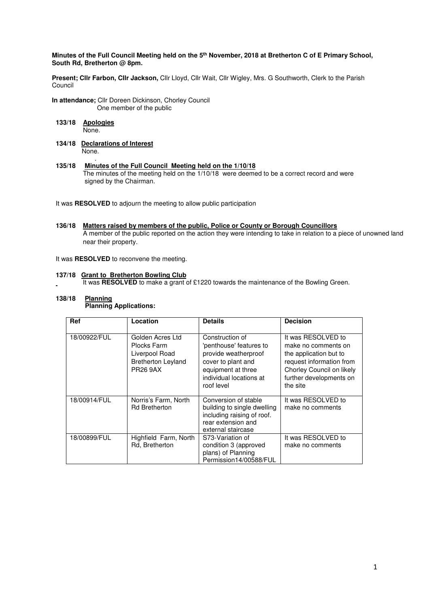### **Minutes of the Full Council Meeting held on the 5th November, 2018 at Bretherton C of E Primary School, South Rd, Bretherton @ 8pm.**

**Present; Cllr Farbon, Cllr Jackson,** Cllr Lloyd, Cllr Wait, Cllr Wigley, Mrs. G Southworth, Clerk to the Parish Council

- **In attendance;** Cllr Doreen Dickinson, Chorley Council One member of the public
- **133/18 Apologies** None.
- **134/18 Declarations of Interest** None.
- . **135/18 Minutes of the Full Council Meeting held on the 1/10/18**  The minutes of the meeting held on the 1/10/18 were deemed to be a correct record and were signed by the Chairman.

It was **RESOLVED** to adjourn the meeting to allow public participation

**136/18 Matters raised by members of the public, Police or County or Borough Councillors**  A member of the public reported on the action they were intending to take in relation to a piece of unowned land near their property.

It was **RESOLVED** to reconvene the meeting.

### **137/18 Grant to Bretherton Bowling Club**

It was **RESOLVED** to make a grant of £1220 towards the maintenance of the Bowling Green.

#### **138/18 Planning Planning Applications:**

| Ref          | Location                                                                                          | <b>Details</b>                                                                                                                                          | <b>Decision</b>                                                                                                                                                     |
|--------------|---------------------------------------------------------------------------------------------------|---------------------------------------------------------------------------------------------------------------------------------------------------------|---------------------------------------------------------------------------------------------------------------------------------------------------------------------|
| 18/00922/FUL | Golden Acres Ltd<br>Plocks Farm<br>Liverpool Road<br><b>Bretherton Leyland</b><br><b>PR26 9AX</b> | Construction of<br>'penthouse' features to<br>provide weatherproof<br>cover to plant and<br>equipment at three<br>individual locations at<br>roof level | It was RESOLVED to<br>make no comments on<br>the application but to<br>request information from<br>Chorley Council on likely<br>further developments on<br>the site |
| 18/00914/FUL | Norris's Farm, North<br><b>Rd Bretherton</b>                                                      | Conversion of stable<br>building to single dwelling<br>including raising of roof.<br>rear extension and<br>external staircase                           | It was RESOLVED to<br>make no comments                                                                                                                              |
| 18/00899/FUL | Highfield Farm, North<br>Rd, Bretherton                                                           | S73-Variation of<br>condition 3 (approved<br>plans) of Planning<br>Permission14/00588/FUL                                                               | It was RESOLVED to<br>make no comments                                                                                                                              |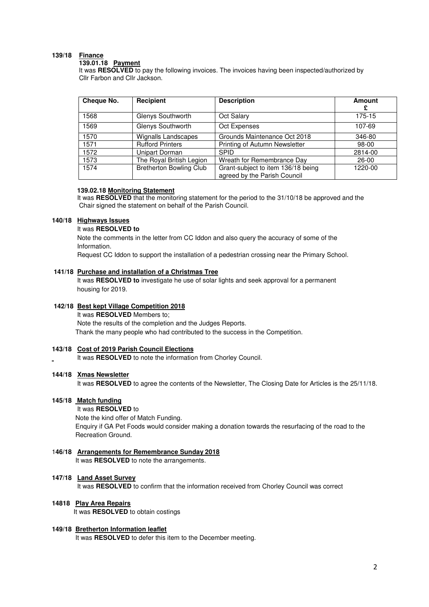### **139/18 Finance**

# **139.01.18 Payment**

It was **RESOLVED** to pay the following invoices. The invoices having been inspected/authorized by Cllr Farbon and Cllr Jackson.

| Cheque No. | Recipient                      | <b>Description</b>                                                 | Amount    |
|------------|--------------------------------|--------------------------------------------------------------------|-----------|
| 1568       | Glenys Southworth              | Oct Salary                                                         | 175-15    |
| 1569       | Glenys Southworth              | Oct Expenses                                                       | 107-69    |
| 1570       | <b>Wignalls Landscapes</b>     | Grounds Maintenance Oct 2018                                       | 346-80    |
| 1571       | <b>Rufford Printers</b>        | Printing of Autumn Newsletter                                      | 98-00     |
| 1572       | Unipart Dorman                 | <b>SPID</b>                                                        | 2814-00   |
| 1573       | The Royal British Legion       | Wreath for Remembrance Day                                         | $26 - 00$ |
| 1574       | <b>Bretherton Bowling Club</b> | Grant-subject to item 136/18 being<br>agreed by the Parish Council | 1220-00   |

#### **139.02.18 Monitoring Statement**

It was **RESOLVED** that the monitoring statement for the period to the 31/10/18 be approved and the Chair signed the statement on behalf of the Parish Council.

#### **140/18 Highways Issues**

It was **RESOLVED to** 

Note the comments in the letter from CC Iddon and also query the accuracy of some of the Information.

Request CC Iddon to support the installation of a pedestrian crossing near the Primary School.

### **141/18 Purchase and installation of a Christmas Tree**

 It was **RESOLVED to** investigate he use of solar lights and seek approval for a permanent housing for 2019.

## **142/18 Best kept Village Competition 2018**

It was **RESOLVED** Members to;

 Note the results of the completion and the Judges Reports. Thank the many people who had contributed to the success in the Competition.

#### **143/18 Cost of 2019 Parish Council Elections**

It was **RESOLVED** to note the information from Chorley Council.

### **144/18 Xmas Newsletter**

It was **RESOLVED** to agree the contents of the Newsletter, The Closing Date for Articles is the 25/11/18.

#### **145/18 Match funding**

 It was **RESOLVED** to Note the kind offer of Match Funding. Enquiry if GA Pet Foods would consider making a donation towards the resurfacing of the road to the Recreation Ground.

### 1**46/18 Arrangements for Remembrance Sunday 2018** It was **RESOLVED** to note the arrangements.

#### **147/18 Land Asset Survey**

It was **RESOLVED** to confirm that the information received from Chorley Council was correct

### **14818 Play Area Repairs**

It was **RESOLVED** to obtain costings

#### **149/18 Bretherton Information leaflet**  It was **RESOLVED** to defer this item to the December meeting.